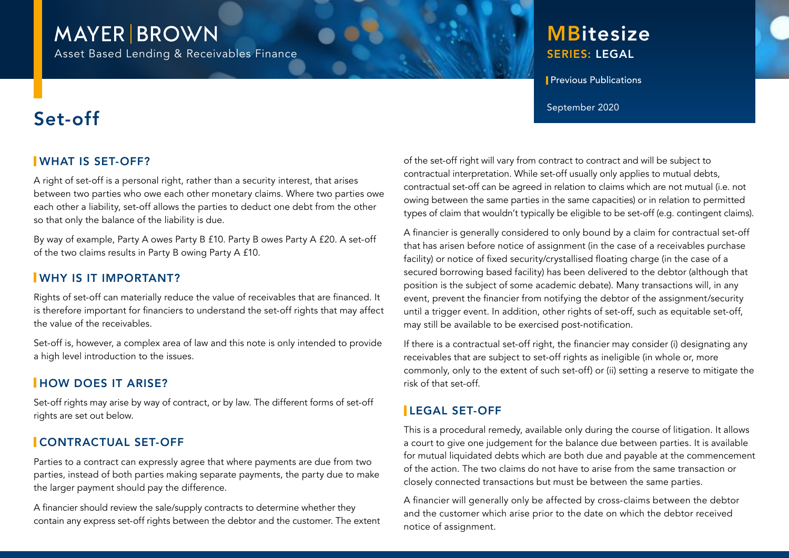# **MAYER BROWN**

Asset Based Lending & Receivables Finance

# SERIES: LEGAL **MBitesize**

**Previous Publications** 

# $\mathsf{Set}\text{-}\mathsf{off}$

## WHAT IS SET-OFF?

A right of set-off is a personal right, rather than a security interest, that arises between two parties who owe each other monetary claims. Where two parties owe each other a liability, set-off allows the parties to deduct one debt from the other so that only the balance of the liability is due.

By way of example, Party A owes Party B £10. Party B owes Party A £20. A set-off of the two claims results in Party B owing Party A £10.

#### WHY IS IT IMPORTANT?

Rights of set-off can materially reduce the value of receivables that are financed. It is therefore important for financiers to understand the set-off rights that may affect the value of the receivables.

Set-off is, however, a complex area of law and this note is only intended to provide a high level introduction to the issues.

## **HOW DOES IT ARISE?**

Set-off rights may arise by way of contract, or by law. The different forms of set-off rights are set out below.

# CONTRACTUAL SET-OFF

Parties to a contract can expressly agree that where payments are due from two parties, instead of both parties making separate payments, the party due to make the larger payment should pay the difference.

A financier should review the sale/supply contracts to determine whether they contain any express set-off rights between the debtor and the customer. The extent of the set-off right will vary from contract to contract and will be subject to contractual interpretation. While set-off usually only applies to mutual debts, contractual set-off can be agreed in relation to claims which are not mutual (i.e. not owing between the same parties in the same capacities) or in relation to permitted types of claim that wouldn't typically be eligible to be set-off (e.g. contingent claims).

A financier is generally considered to only bound by a claim for contractual set-off that has arisen before notice of assignment (in the case of a receivables purchase facility) or notice of fixed security/crystallised floating charge (in the case of a secured borrowing based facility) has been delivered to the debtor (although that position is the subject of some academic debate). Many transactions will, in any event, prevent the financier from notifying the debtor of the assignment/security until a trigger event. In addition, other rights of set-off, such as equitable set-off, may still be available to be exercised post-notification.

If there is a contractual set-off right, the financier may consider (i) designating any receivables that are subject to set-off rights as ineligible (in whole or, more commonly, only to the extent of such set-off) or (ii) setting a reserve to mitigate the risk of that set-off.

# LEGAL SET-OFF

This is a procedural remedy, available only during the course of litigation. It allows a court to give one judgement for the balance due between parties. It is available for mutual liquidated debts which are both due and payable at the commencement of the action. The two claims do not have to arise from the same transaction or closely connected transactions but must be between the same parties.

A financier will generally only be affected by cross-claims between the debtor and the customer which arise prior to the date on which the debtor received notice of assignment.